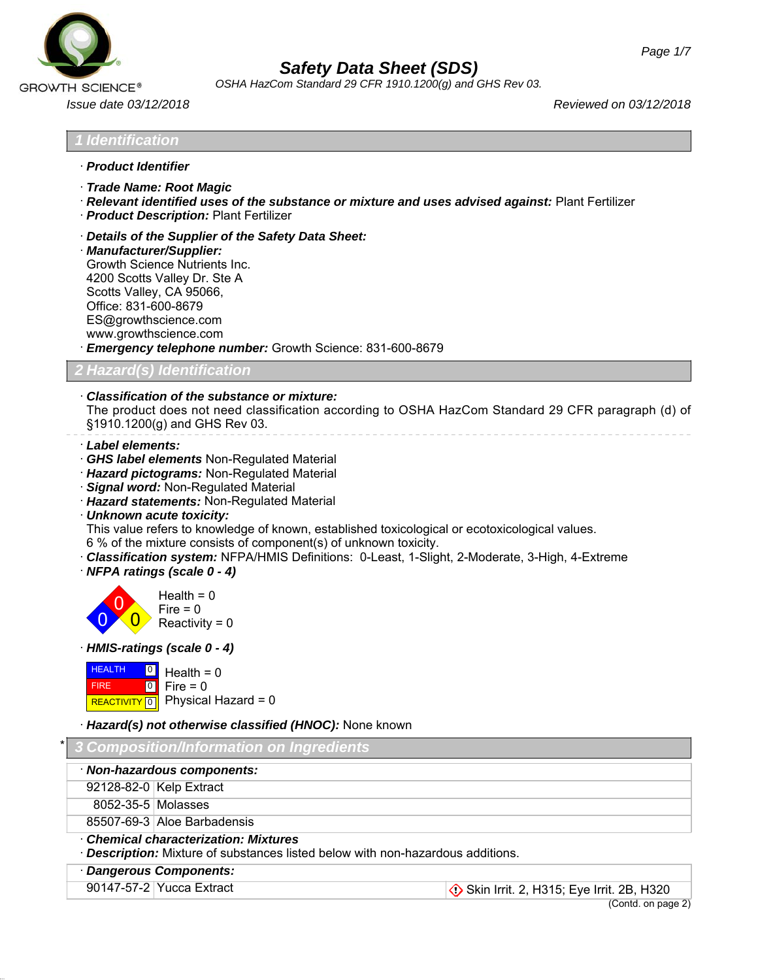

*OSHA HazCom Standard 29 CFR 1910.1200(g) and GHS Rev 03.*

*Issue date 03/12/2018 Reviewed on 03/12/2018*

*1 Identification*

- · *Product Identifier*
- · *Trade Name: Root Magic*
- · *Relevant identified uses of the substance or mixture and uses advised against:* Plant Fertilizer
- · *Product Description:* Plant Fertilizer
- · *Details of the Supplier of the Safety Data Sheet:*
- · *Manufacturer/Supplier:* Growth Science Nutrients Inc. 4200 Scotts Valley Dr. Ste A Scotts Valley, CA 95066, Office: 831-600-8679 ES@growthscience.com www.growthscience.com
- · *Emergency telephone number:* Growth Science: 831-600-8679

*2 Hazard(s) Identification*

# · *Classification of the substance or mixture:*

The product does not need classification according to OSHA HazCom Standard 29 CFR paragraph (d) of §1910.1200(g) and GHS Rev 03.

- · *Label elements:*
- · *GHS label elements* Non-Regulated Material
- · *Hazard pictograms:* Non-Regulated Material
- · *Signal word:* Non-Regulated Material
- · *Hazard statements:* Non-Regulated Material
- · *Unknown acute toxicity:*

This value refers to knowledge of known, established toxicological or ecotoxicological values.

6 % of the mixture consists of component(s) of unknown toxicity.

· *Classification system:* NFPA/HMIS Definitions: 0-Least, 1-Slight, 2-Moderate, 3-High, 4-Extreme · *NFPA ratings (scale 0 - 4)*



· *HMIS-ratings (scale 0 - 4)*



*Hazard(s) not otherwise classified (HNOC):* **None known** 

|                                                                                                                                    | <b>1 3 Composition/Information on Ingredients</b> |                             |  |  |
|------------------------------------------------------------------------------------------------------------------------------------|---------------------------------------------------|-----------------------------|--|--|
|                                                                                                                                    | · Non-hazardous components:                       |                             |  |  |
|                                                                                                                                    |                                                   | 92128-82-0 Kelp Extract     |  |  |
|                                                                                                                                    | 8052-35-5 Molasses                                |                             |  |  |
|                                                                                                                                    |                                                   | 85507-69-3 Aloe Barbadensis |  |  |
| <b>Chemical characterization: Mixtures</b><br><b>Description:</b> Mixture of substances listed below with non-hazardous additions. |                                                   |                             |  |  |
|                                                                                                                                    | · Dangerous Components:                           |                             |  |  |
|                                                                                                                                    |                                                   |                             |  |  |

90147-57-2 Yucca Extract Skin Irrit. 2, H315; Eye Irrit. 2B, H320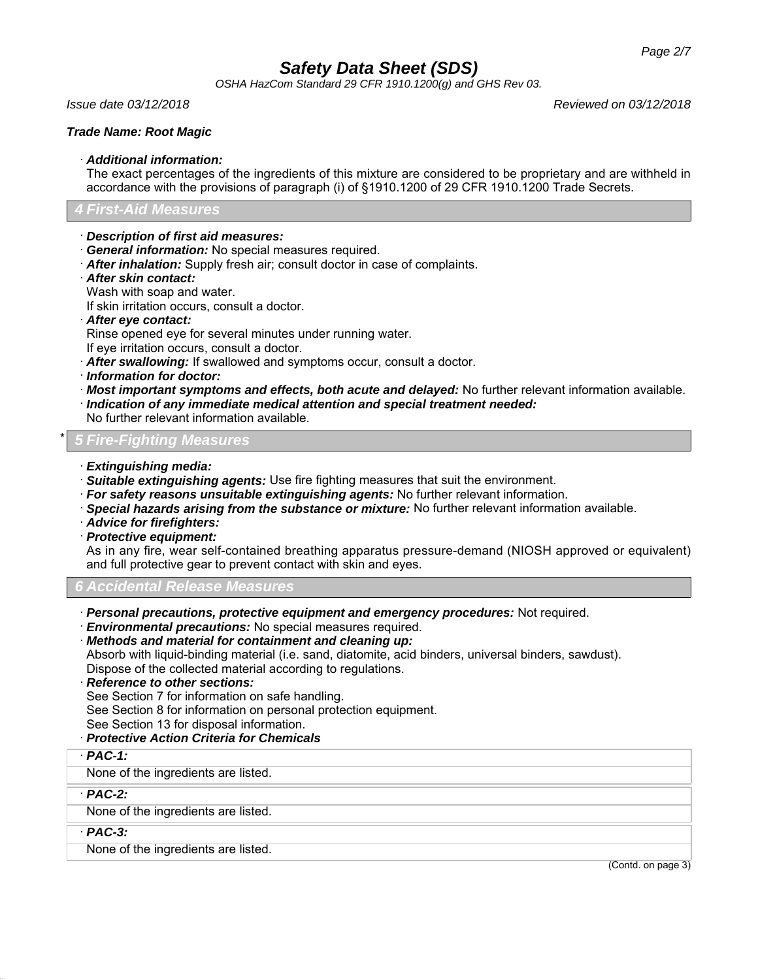*OSHA HazCom Standard 29 CFR 1910.1200(g) and GHS Rev 03.*

*Issue date 03/12/2018 Reviewed on 03/12/2018*

## *Trade Name: Root Magic*

#### · *Additional information:*

The exact percentages of the ingredients of this mixture are considered to be proprietary and are withheld in accordance with the provisions of paragraph (i) of §1910.1200 of 29 CFR 1910.1200 Trade Secrets.

## *4 First-Aid Measures*

- · *Description of first aid measures:*
- · *General information:* No special measures required.
- · *After inhalation:* Supply fresh air; consult doctor in case of complaints.
- · *After skin contact:*

Wash with soap and water.

If skin irritation occurs, consult a doctor.

· *After eye contact:*

Rinse opened eye for several minutes under running water.

- If eye irritation occurs, consult a doctor.
- · *After swallowing:* If swallowed and symptoms occur, consult a doctor.
- · *Information for doctor:*
- · *Most important symptoms and effects, both acute and delayed:* No further relevant information available.
- · *Indication of any immediate medical attention and special treatment needed:*

No further relevant information available.

\* *5 Fire-Fighting Measures*

- · *Extinguishing media:*
- · *Suitable extinguishing agents:* Use fire fighting measures that suit the environment.
- · *For safety reasons unsuitable extinguishing agents:* No further relevant information.
- · *Special hazards arising from the substance or mixture:* No further relevant information available.
- · *Advice for firefighters:*
- · *Protective equipment:*

As in any fire, wear self-contained breathing apparatus pressure-demand (NIOSH approved or equivalent) and full protective gear to prevent contact with skin and eyes.

*6 Accidental Release Measures*

- · *Personal precautions, protective equipment and emergency procedures:* Not required.
- · *Environmental precautions:* No special measures required.

· *Methods and material for containment and cleaning up:* Absorb with liquid-binding material (i.e. sand, diatomite, acid binders, universal binders, sawdust). Dispose of the collected material according to regulations.

· *Reference to other sections:*

See Section 7 for information on safe handling.

See Section 8 for information on personal protection equipment.

See Section 13 for disposal information.

- · *Protective Action Criteria for Chemicals*
- · *PAC-1:*

None of the ingredients are listed.

· *PAC-2:*

None of the ingredients are listed.

· *PAC-3:*

None of the ingredients are listed.

(Contd. on page 3)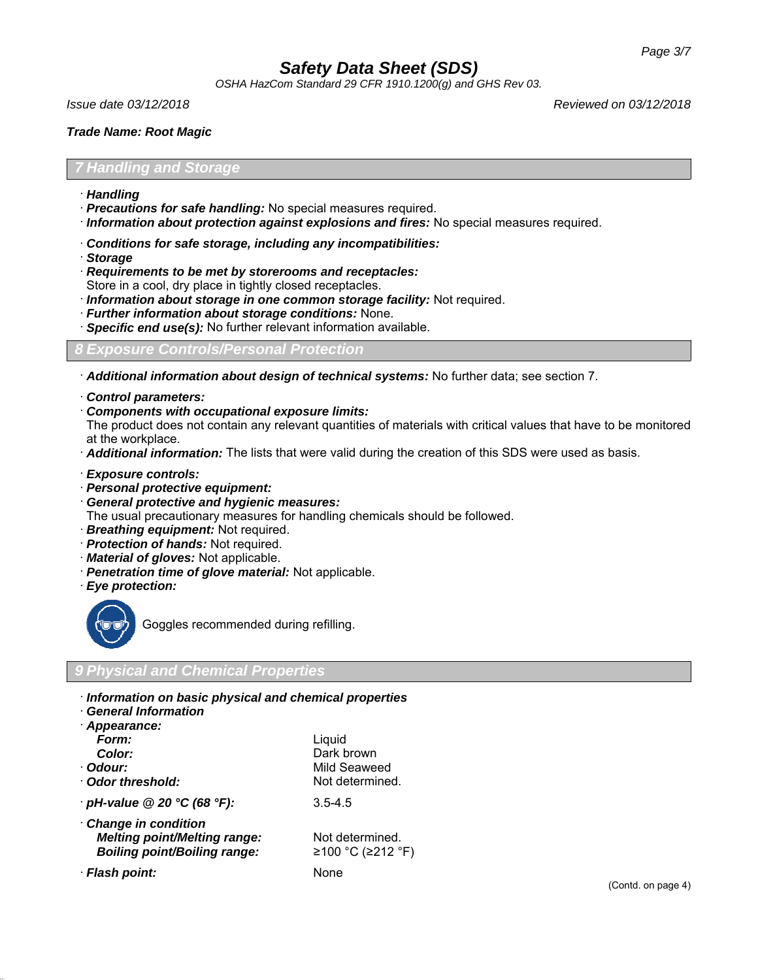*OSHA HazCom Standard 29 CFR 1910.1200(g) and GHS Rev 03.*

*Issue date 03/12/2018 Reviewed on 03/12/2018*

### *Trade Name: Root Magic*

#### *7 Handling and Storage*

- · *Handling*
- · *Precautions for safe handling:* No special measures required.
- · *Information about protection against explosions and fires:* No special measures required.
- · *Conditions for safe storage, including any incompatibilities:*
- · *Storage*
- · *Requirements to be met by storerooms and receptacles:*
- Store in a cool, dry place in tightly closed receptacles.
- · *Information about storage in one common storage facility:* Not required.
- · *Further information about storage conditions:* None.
- **Specific end use(s):** No further relevant information available.

#### *8 Exposure Controls/Personal Protection*

· *Additional information about design of technical systems:* No further data; see section 7.

- · *Control parameters:*
- · *Components with occupational exposure limits:*

The product does not contain any relevant quantities of materials with critical values that have to be monitored at the workplace.

- · *Additional information:* The lists that were valid during the creation of this SDS were used as basis.
- · *Exposure controls:*
- · *Personal protective equipment:*
- · *General protective and hygienic measures:*

The usual precautionary measures for handling chemicals should be followed.

- · *Breathing equipment:* Not required.
- · *Protection of hands:* Not required.
- · *Material of gloves:* Not applicable.
- · *Penetration time of glove material:* Not applicable.
- · *Eye protection:*



Goggles recommended during refilling.

### *9 Physical and Chemical Properties*

- · *Information on basic physical and chemical properties*
- · *General Information*

| Appearance:                         |                   |
|-------------------------------------|-------------------|
| Form:                               | Liquid            |
| Color:                              | Dark brown        |
| · Odour:                            | Mild Seaweed      |
| Odor threshold:                     | Not determined.   |
| $\cdot$ pH-value @ 20 °C (68 °F):   | $3.5 - 4.5$       |
| Change in condition                 |                   |
| <b>Melting point/Melting range:</b> | Not determined.   |
| <b>Boiling point/Boiling range:</b> | ≥100 °C (≥212 °F) |
| · Flash point:                      | None              |
|                                     |                   |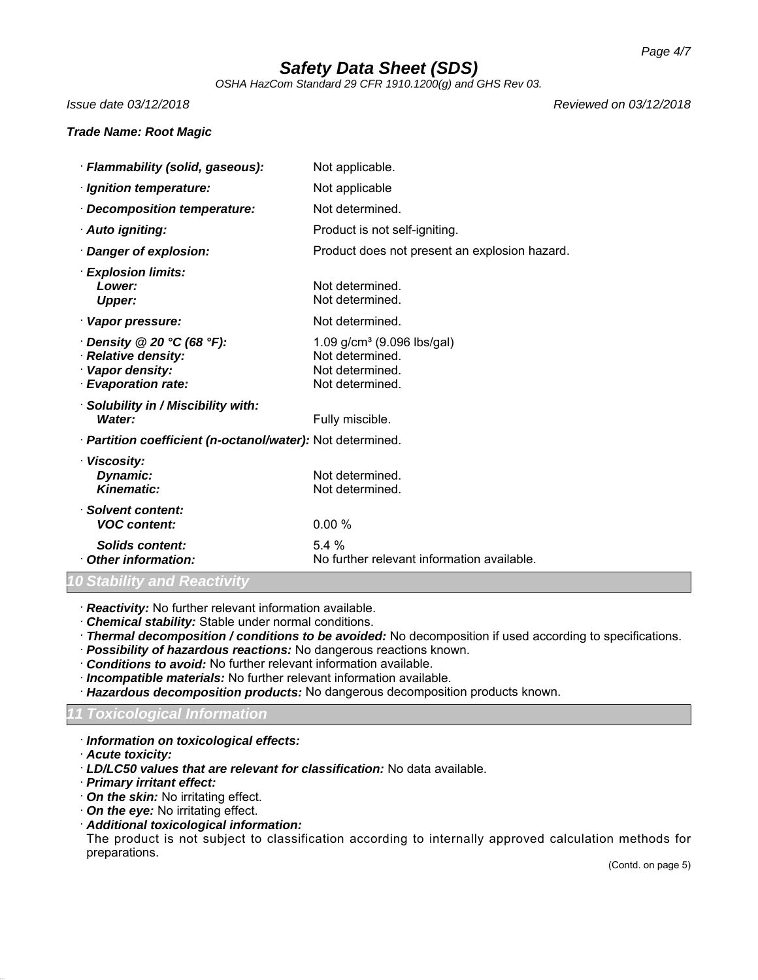*OSHA HazCom Standard 29 CFR 1910.1200(g) and GHS Rev 03.*

*Issue date 03/12/2018 Reviewed on 03/12/2018*

#### *Trade Name: Root Magic*

· *Flammability (solid, gaseous):* Not applicable. *Ignition temperature:* Not applicable · *Decomposition temperature:* Not determined. · **Auto igniting:** Product is not self-igniting. · *Danger of explosion:* Product does not present an explosion hazard. · *Explosion limits:* **Lower:** Not determined. **Upper:** Not determined. · **Vapor pressure:** Not determined. **Density @ 20 °C (68 °F):** 1.09 g/cm<sup>3</sup> (9.096 lbs/gal) **Relative density:** Not determined. · **Vapor density:** Not determined. · **Evaporation rate:** Not determined. · *Solubility in / Miscibility with:* **Water:** Fully miscible. · *Partition coefficient (n-octanol/water):* Not determined. · *Viscosity:* **Dynamic:** Not determined. **Kinematic:** Not determined. · *Solvent content: VOC content:* 0.00 % *Solids content:* 5.4 % **Other information:** No further relevant information available.

### *10 Stability and Reactivity*

· *Reactivity:* No further relevant information available.

· *Chemical stability:* Stable under normal conditions.

· *Thermal decomposition / conditions to be avoided:* No decomposition if used according to specifications.

- · *Possibility of hazardous reactions:* No dangerous reactions known.
- · *Conditions to avoid:* No further relevant information available.
- · *Incompatible materials:* No further relevant information available.
- · *Hazardous decomposition products:* No dangerous decomposition products known.

# *11 Toxicological Information*

- · *Information on toxicological effects:*
- · *Acute toxicity:*
- · *LD/LC50 values that are relevant for classification:* No data available.
- · *Primary irritant effect:*
- · *On the skin:* No irritating effect.
- · *On the eye:* No irritating effect.
- · *Additional toxicological information:*

The product is not subject to classification according to internally approved calculation methods for preparations.

(Contd. on page 5)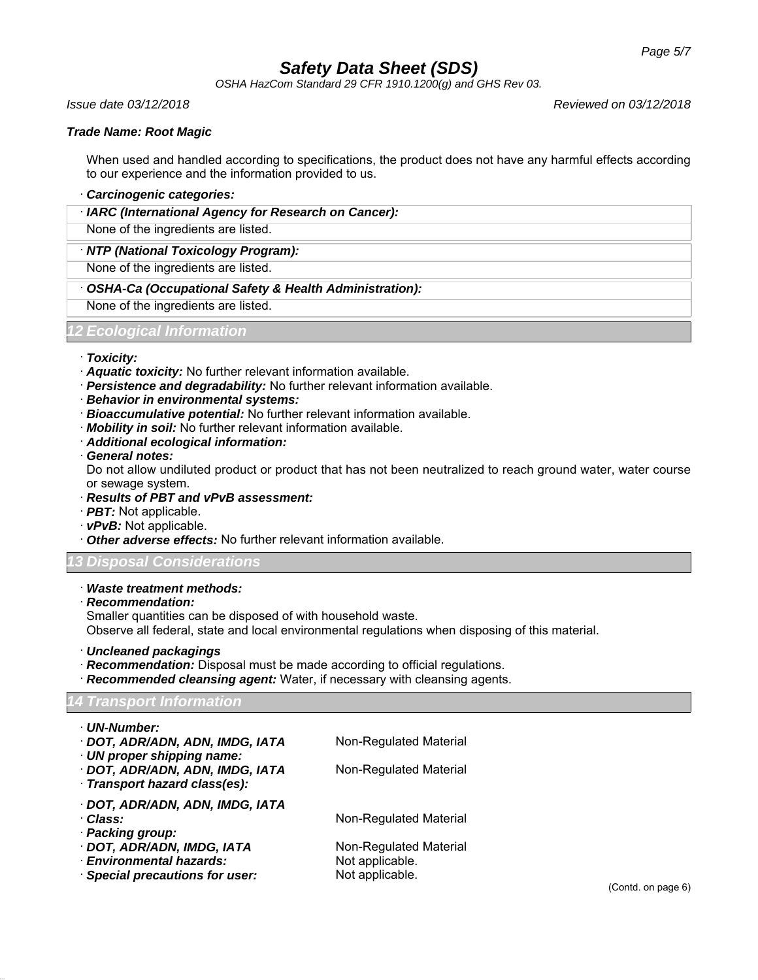*OSHA HazCom Standard 29 CFR 1910.1200(g) and GHS Rev 03.*

*Issue date 03/12/2018 Reviewed on 03/12/2018*

### *Trade Name: Root Magic*

When used and handled according to specifications, the product does not have any harmful effects according to our experience and the information provided to us.

#### · *Carcinogenic categories:*

· *IARC (International Agency for Research on Cancer):*

None of the ingredients are listed.

· *NTP (National Toxicology Program):*

None of the ingredients are listed.

· *OSHA-Ca (Occupational Safety & Health Administration):*

None of the ingredients are listed.

#### *12 Ecological Information*

#### · *Toxicity:*

- · *Aquatic toxicity:* No further relevant information available.
- · *Persistence and degradability:* No further relevant information available.
- · *Behavior in environmental systems:*
- · *Bioaccumulative potential:* No further relevant information available.
- · *Mobility in soil:* No further relevant information available.
- · *Additional ecological information:*
- · *General notes:*

Do not allow undiluted product or product that has not been neutralized to reach ground water, water course or sewage system.

- · *Results of PBT and vPvB assessment:*
- · *PBT:* Not applicable.
- · *vPvB:* Not applicable.
- · *Other adverse effects:* No further relevant information available.

### *13 Disposal Considerations*

#### · *Waste treatment methods:*

· *Recommendation:*

Smaller quantities can be disposed of with household waste.

Observe all federal, state and local environmental regulations when disposing of this material.

· *Uncleaned packagings*

- · *Recommendation:* Disposal must be made according to official regulations.
- **Recommended cleansing agent:** Water, if necessary with cleansing agents.

# *14 Transport Information*

| · UN-Number:                                                                                 |                        |
|----------------------------------------------------------------------------------------------|------------------------|
| · DOT, ADR/ADN, ADN, IMDG, IATA                                                              | Non-Regulated Material |
| · UN proper shipping name:<br>· DOT, ADR/ADN, ADN, IMDG, IATA<br>Transport hazard class(es): | Non-Regulated Material |
|                                                                                              |                        |
| · DOT, ADR/ADN, ADN, IMDG, IATA                                                              |                        |
| ∙ Class:                                                                                     | Non-Regulated Material |
| · Packing group:                                                                             |                        |
| · DOT, ADR/ADN, IMDG, IATA                                                                   | Non-Regulated Material |
| · Environmental hazards:                                                                     | Not applicable.        |
| · Special precautions for user:                                                              | Not applicable.        |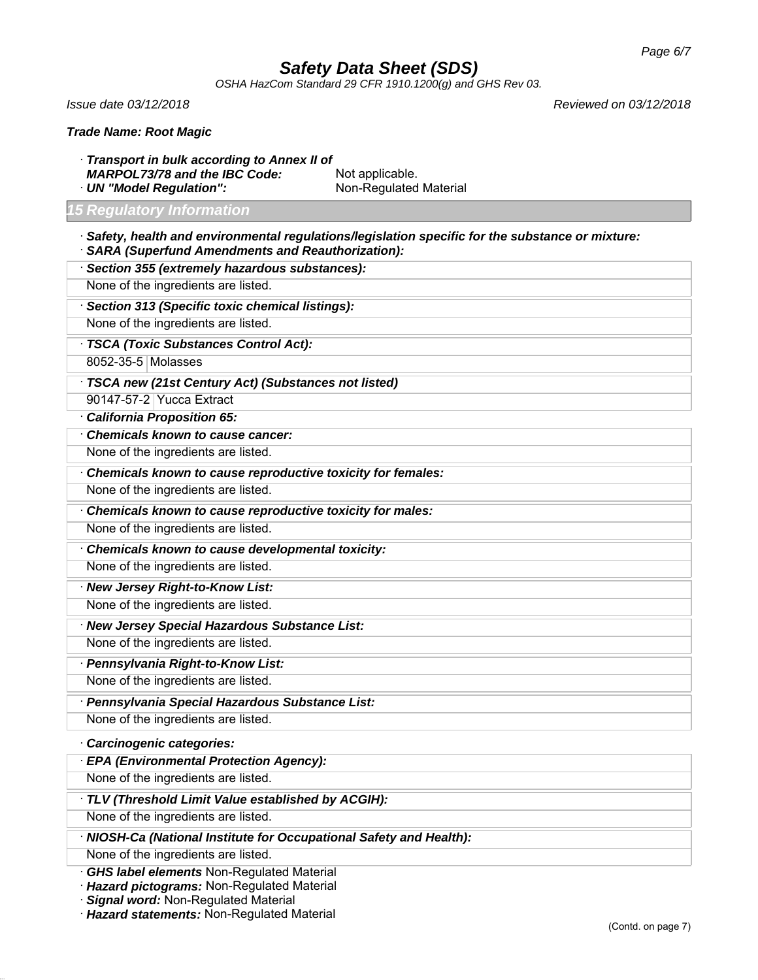*OSHA HazCom Standard 29 CFR 1910.1200(g) and GHS Rev 03.*

*Issue date 03/12/2018 Reviewed on 03/12/2018*

· *Transport in bulk according to Annex II of* MARPOL73/78 and the IBC Code: Not applicable. · **UN "Model Regulation":** Non-Regulated Material

#### *15 Regulatory Information*

- · *Safety, health and environmental regulations/legislation specific for the substance or mixture:*
- · *SARA (Superfund Amendments and Reauthorization):*
- · *Section 355 (extremely hazardous substances):* None of the ingredients are listed. · *Section 313 (Specific toxic chemical listings):* None of the ingredients are listed. · *TSCA (Toxic Substances Control Act):* 8052-35-5 Molasses · *TSCA new (21st Century Act) (Substances not listed)* 90147-57-2 Yucca Extract
- · *California Proposition 65:*
- · *Chemicals known to cause cancer:*

None of the ingredients are listed.

· *Chemicals known to cause reproductive toxicity for females:*

None of the ingredients are listed.

· *Chemicals known to cause reproductive toxicity for males:*

None of the ingredients are listed.

· *Chemicals known to cause developmental toxicity:*

None of the ingredients are listed.

· *New Jersey Right-to-Know List:* None of the ingredients are listed.

- · *New Jersey Special Hazardous Substance List:* None of the ingredients are listed.
- · *Pennsylvania Right-to-Know List:* None of the ingredients are listed.
- · *Pennsylvania Special Hazardous Substance List:*

None of the ingredients are listed.

### · *Carcinogenic categories:*

· *EPA (Environmental Protection Agency):*

None of the ingredients are listed.

· *TLV (Threshold Limit Value established by ACGIH):*

None of the ingredients are listed.

· *NIOSH-Ca (National Institute for Occupational Safety and Health):*

None of the ingredients are listed.

· *GHS label elements* Non-Regulated Material

· *Hazard pictograms:* Non-Regulated Material

· *Signal word:* Non-Regulated Material

· *Hazard statements:* Non-Regulated Material